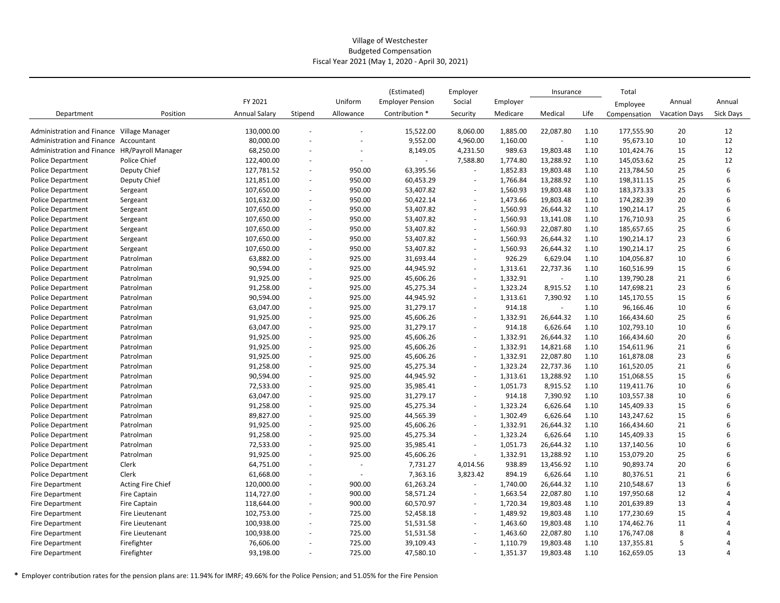## Village of Westchester Budgeted Compensation Fiscal Year 2021 (May 1, 2020 ‐ April 30, 2021)

|                                               |                          |                      |                          |                          | (Estimated)             | Employer                 |          | Insurance                |      | Total        |                      |           |
|-----------------------------------------------|--------------------------|----------------------|--------------------------|--------------------------|-------------------------|--------------------------|----------|--------------------------|------|--------------|----------------------|-----------|
|                                               |                          | FY 2021              |                          | Uniform                  | <b>Employer Pension</b> | Social                   | Employer |                          |      | Employee     | Annual               | Annual    |
| Department                                    | Position                 | <b>Annual Salary</b> | Stipend                  | Allowance                | Contribution *          | Security                 | Medicare | Medical                  | Life | Compensation | <b>Vacation Days</b> | Sick Days |
| Administration and Finance Village Manager    |                          | 130,000.00           | ÷.                       |                          | 15,522.00               | 8,060.00                 | 1,885.00 | 22,087.80                | 1.10 | 177,555.90   | 20                   | 12        |
| Administration and Finance Accountant         |                          | 80,000.00            | ÷.                       | $\sim$                   | 9,552.00                | 4,960.00                 | 1,160.00 | $\omega$                 | 1.10 | 95,673.10    | 10                   | 12        |
| Administration and Finance HR/Payroll Manager |                          | 68,250.00            |                          |                          | 8,149.05                | 4,231.50                 | 989.63   | 19,803.48                | 1.10 | 101,424.76   | 15                   | 12        |
| <b>Police Department</b>                      | Police Chief             | 122,400.00           | ÷.                       |                          | $\omega$                | 7,588.80                 | 1,774.80 | 13,288.92                | 1.10 | 145,053.62   | 25                   | 12        |
| <b>Police Department</b>                      | Deputy Chief             | 127,781.52           | ÷.                       | 950.00                   | 63,395.56               | $\overline{\phantom{a}}$ | 1,852.83 | 19,803.48                | 1.10 | 213,784.50   | 25                   | 6         |
| <b>Police Department</b>                      | Deputy Chief             | 121,851.00           | $\sim$                   | 950.00                   | 60,453.29               | $\sim$                   | 1,766.84 | 13,288.92                | 1.10 | 198,311.15   | 25                   | 6         |
| Police Department                             | Sergeant                 | 107,650.00           | ÷.                       | 950.00                   | 53,407.82               | ä,                       | 1,560.93 | 19,803.48                | 1.10 | 183,373.33   | 25                   | 6         |
| <b>Police Department</b>                      | Sergeant                 | 101,632.00           | $\sim$                   | 950.00                   | 50,422.14               | ÷                        | 1,473.66 | 19,803.48                | 1.10 | 174,282.39   | 20                   | 6         |
| Police Department                             | Sergeant                 | 107,650.00           | ÷.                       | 950.00                   | 53,407.82               | $\sim$                   | 1,560.93 | 26,644.32                | 1.10 | 190,214.17   | 25                   | 6         |
| <b>Police Department</b>                      | Sergeant                 | 107,650.00           | $\sim$                   | 950.00                   | 53,407.82               | $\overline{a}$           | 1,560.93 | 13,141.08                | 1.10 | 176,710.93   | 25                   | 6         |
| <b>Police Department</b>                      | Sergeant                 | 107,650.00           | $\overline{\phantom{a}}$ | 950.00                   | 53,407.82               | $\sim$                   | 1,560.93 | 22,087.80                | 1.10 | 185,657.65   | 25                   | 6         |
| <b>Police Department</b>                      | Sergeant                 | 107,650.00           | $\sim$                   | 950.00                   | 53,407.82               | $\overline{\phantom{m}}$ | 1,560.93 | 26,644.32                | 1.10 | 190,214.17   | 23                   | 6         |
| <b>Police Department</b>                      | Sergeant                 | 107,650.00           | $\overline{\phantom{a}}$ | 950.00                   | 53,407.82               | ÷.                       | 1,560.93 | 26,644.32                | 1.10 | 190,214.17   | 25                   | 6         |
| Police Department                             | Patrolman                | 63,882.00            | $\overline{\phantom{a}}$ | 925.00                   | 31,693.44               | ÷.                       | 926.29   | 6,629.04                 | 1.10 | 104,056.87   | 10                   | 6         |
| <b>Police Department</b>                      | Patrolman                | 90,594.00            | $\overline{\phantom{a}}$ | 925.00                   | 44,945.92               | ÷.                       | 1,313.61 | 22,737.36                | 1.10 | 160,516.99   | 15                   | 6         |
| <b>Police Department</b>                      | Patrolman                | 91,925.00            | ÷.                       | 925.00                   | 45,606.26               | $\sim$                   | 1,332.91 | $\sim$                   | 1.10 | 139,790.28   | 21                   | 6         |
| <b>Police Department</b>                      | Patrolman                | 91,258.00            | $\overline{\phantom{a}}$ | 925.00                   | 45,275.34               | $\overline{\phantom{a}}$ | 1,323.24 | 8,915.52                 | 1.10 | 147,698.21   | 23                   | 6         |
| <b>Police Department</b>                      | Patrolman                | 90,594.00            | $\overline{\phantom{a}}$ | 925.00                   | 44,945.92               | $\sim$                   | 1,313.61 | 7,390.92                 | 1.10 | 145,170.55   | 15                   | 6         |
| <b>Police Department</b>                      | Patrolman                | 63,047.00            | $\overline{\phantom{a}}$ | 925.00                   | 31,279.17               | $\overline{\phantom{a}}$ | 914.18   | $\overline{\phantom{a}}$ | 1.10 | 96,166.46    | 10                   | 6         |
| <b>Police Department</b>                      | Patrolman                | 91,925.00            | $\sim$                   | 925.00                   | 45,606.26               | $\blacksquare$           | 1,332.91 | 26,644.32                | 1.10 | 166,434.60   | 25                   | 6         |
| <b>Police Department</b>                      | Patrolman                | 63,047.00            | $\sim$                   | 925.00                   | 31,279.17               | ä,                       | 914.18   | 6,626.64                 | 1.10 | 102,793.10   | 10                   | 6         |
| <b>Police Department</b>                      | Patrolman                | 91,925.00            | $\sim$                   | 925.00                   | 45,606.26               | $\blacksquare$           | 1,332.91 | 26,644.32                | 1.10 | 166,434.60   | 20                   | 6         |
| <b>Police Department</b>                      | Patrolman                | 91,925.00            | $\sim$                   | 925.00                   | 45,606.26               | ÷                        | 1,332.91 | 14,821.68                | 1.10 | 154,611.96   | 21                   | 6         |
| <b>Police Department</b>                      | Patrolman                | 91,925.00            | $\sim$                   | 925.00                   | 45,606.26               | $\sim$                   | 1,332.91 | 22,087.80                | 1.10 | 161,878.08   | 23                   | 6         |
| <b>Police Department</b>                      | Patrolman                | 91,258.00            | $\sim$                   | 925.00                   | 45,275.34               |                          | 1,323.24 | 22,737.36                | 1.10 | 161,520.05   | 21                   | 6         |
| <b>Police Department</b>                      | Patrolman                | 90,594.00            | $\overline{\phantom{a}}$ | 925.00                   | 44,945.92               | $\sim$                   | 1,313.61 | 13,288.92                | 1.10 | 151,068.55   | 15                   | 6         |
| <b>Police Department</b>                      | Patrolman                | 72,533.00            | $\sim$                   | 925.00                   | 35,985.41               | $\sim$                   | 1,051.73 | 8,915.52                 | 1.10 | 119,411.76   | 10                   | 6         |
| <b>Police Department</b>                      | Patrolman                | 63,047.00            | $\overline{\phantom{a}}$ | 925.00                   | 31,279.17               | $\sim$                   | 914.18   | 7,390.92                 | 1.10 | 103,557.38   | 10                   | 6         |
| <b>Police Department</b>                      | Patrolman                | 91,258.00            | $\sim$                   | 925.00                   | 45,275.34               | $\blacksquare$           | 1,323.24 | 6,626.64                 | 1.10 | 145,409.33   | 15                   | 6         |
| <b>Police Department</b>                      | Patrolman                | 89,827.00            | $\sim$                   | 925.00                   | 44,565.39               | $\blacksquare$           | 1,302.49 | 6,626.64                 | 1.10 | 143,247.62   | 15                   | 6         |
| <b>Police Department</b>                      | Patrolman                | 91,925.00            | $\overline{\phantom{a}}$ | 925.00                   | 45,606.26               | $\overline{\phantom{m}}$ | 1,332.91 | 26,644.32                | 1.10 | 166,434.60   | 21                   | 6         |
| <b>Police Department</b>                      | Patrolman                | 91,258.00            | $\sim$                   | 925.00                   | 45,275.34               | $\overline{\phantom{a}}$ | 1,323.24 | 6,626.64                 | 1.10 | 145,409.33   | 15                   | 6         |
| <b>Police Department</b>                      | Patrolman                | 72,533.00            | $\sim$                   | 925.00                   | 35,985.41               | $\overline{\phantom{a}}$ | 1,051.73 | 26,644.32                | 1.10 | 137,140.56   | 10                   | 6         |
| <b>Police Department</b>                      | Patrolman                | 91,925.00            | $\overline{\phantom{a}}$ | 925.00                   | 45,606.26               | $\overline{\phantom{a}}$ | 1,332.91 | 13,288.92                | 1.10 | 153,079.20   | 25                   | 6         |
| <b>Police Department</b>                      | Clerk                    | 64,751.00            | $\overline{\phantom{a}}$ |                          | 7,731.27                | 4,014.56                 | 938.89   | 13,456.92                | 1.10 | 90,893.74    | 20                   | 6         |
| <b>Police Department</b>                      | Clerk                    | 61,668.00            | $\sim$                   | $\overline{\phantom{a}}$ | 7,363.16                | 3,823.42                 | 894.19   | 6,626.64                 | 1.10 | 80,376.51    | 21                   | 6         |
| Fire Department                               | <b>Acting Fire Chief</b> | 120,000.00           | $\overline{\phantom{a}}$ | 900.00                   | 61,263.24               | $\sim$                   | 1,740.00 | 26,644.32                | 1.10 | 210,548.67   | 13                   | 6         |
| Fire Department                               | <b>Fire Captain</b>      | 114,727.00           | $\sim$                   | 900.00                   | 58,571.24               | ÷.                       | 1,663.54 | 22,087.80                | 1.10 | 197,950.68   | 12                   | 4         |
| Fire Department                               | Fire Captain             | 118,644.00           | $\sim$                   | 900.00                   | 60,570.97               | ÷                        | 1,720.34 | 19,803.48                | 1.10 | 201,639.89   | 13                   | 4         |
| <b>Fire Department</b>                        | Fire Lieutenant          | 102,753.00           | $\sim$                   | 725.00                   | 52,458.18               |                          | 1,489.92 | 19,803.48                | 1.10 | 177,230.69   | 15                   | 4         |
| Fire Department                               | <b>Fire Lieutenant</b>   | 100,938.00           | $\overline{\phantom{a}}$ | 725.00                   | 51,531.58               | $\overline{\phantom{a}}$ | 1,463.60 | 19,803.48                | 1.10 | 174,462.76   | 11                   | 4         |
| <b>Fire Department</b>                        | Fire Lieutenant          | 100,938.00           | $\sim$                   | 725.00                   | 51,531.58               | ÷,                       | 1,463.60 | 22,087.80                | 1.10 | 176,747.08   | 8                    |           |
| <b>Fire Department</b>                        | Firefighter              | 76,606.00            | $\overline{\phantom{a}}$ | 725.00                   | 39,109.43               | $\blacksquare$           | 1,110.79 | 19,803.48                | 1.10 | 137,355.81   | 5                    |           |
| Fire Department                               | Firefighter              | 93,198.00            |                          | 725.00                   | 47,580.10               |                          | 1,351.37 | 19,803.48                | 1.10 | 162,659.05   | 13                   | 4         |

**\*** Employer contribution rates for the pension plans are: 11.94% for IMRF; 49.66% for the Police Pension; and 51.05% for the Fire Pension